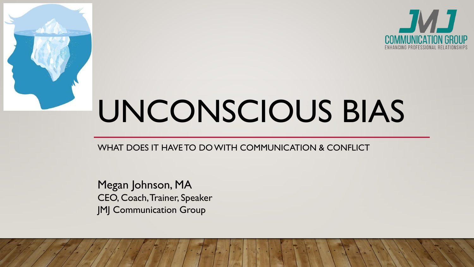

# UNCONSCIOUS BIAS

### WHAT DOES IT HAVE TO DO WITH COMMUNICATION & CONFLICT

Megan Johnson, MA CEO, Coach, Trainer, Speaker JMJ Communication Group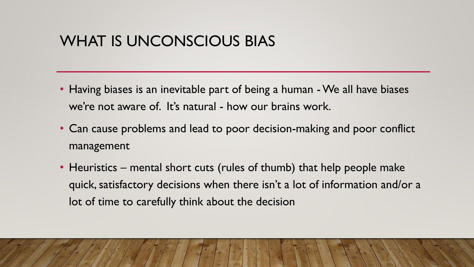# WHAT IS UNCONSCIOUS BIAS

- Having biases is an inevitable part of being a human We all have biases we're not aware of. It's natural - how our brains work.
- Can cause problems and lead to poor decision-making and poor conflict management
- Heuristics mental short cuts (rules of thumb) that help people make quick, satisfactory decisions when there isn't a lot of information and/or a lot of time to carefully think about the decision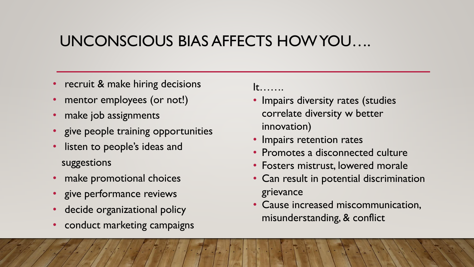# UNCONSCIOUS BIAS AFFECTS HOW YOU….

- recruit & make hiring decisions
- mentor employees (or not!)
- make job assignments
- give people training opportunities
- listen to people's ideas and suggestions
- make promotional choices
- give performance reviews
- decide organizational policy
- conduct marketing campaigns

 $\mathsf{t}$ ……

- Impairs diversity rates (studies correlate diversity w better innovation)
- Impairs retention rates
- Promotes a disconnected culture
- Fosters mistrust, lowered morale
- Can result in potential discrimination grievance
- Cause increased miscommunication, misunderstanding, & conflict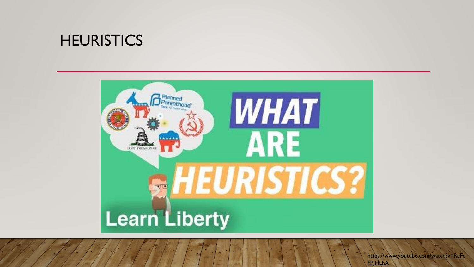# **HEURISTICS**



https://www.youtube.com/watch?v=ReFq **FPIHLhA**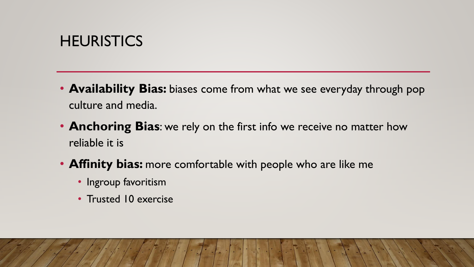# **HEURISTICS**

- **Availability Bias:** biases come from what we see everyday through pop culture and media.
- **Anchoring Bias**: we rely on the first info we receive no matter how reliable it is
- **Affinity bias:** more comfortable with people who are like me
	- Ingroup favoritism
	- Trusted 10 exercise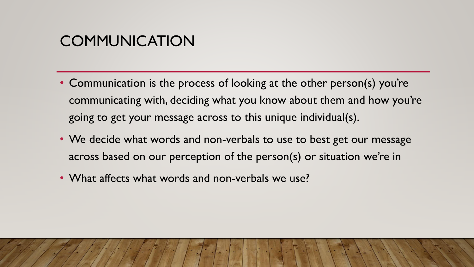# **COMMUNICATION**

- Communication is the process of looking at the other person(s) you're communicating with, deciding what you know about them and how you're going to get your message across to this unique individual(s).
- We decide what words and non-verbals to use to best get our message across based on our perception of the person(s) or situation we're in
- What affects what words and non-verbals we use?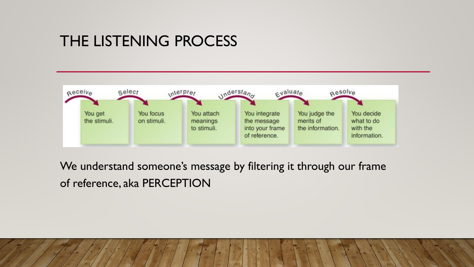# THE LISTENING PROCESS



We understand someone's message by filtering it through our frame of reference, aka PERCEPTION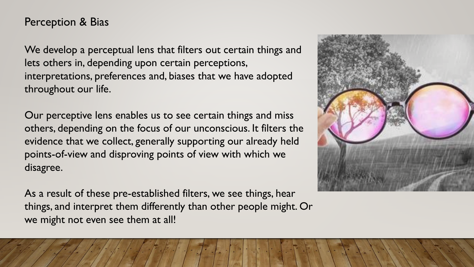### Perception & Bias

We develop a perceptual lens that filters out certain things and lets others in, depending upon certain perceptions, interpretations, preferences and, biases that we have adopted throughout our life.

Our perceptive lens enables us to see certain things and miss others, depending on the focus of our unconscious. It filters the evidence that we collect, generally supporting our already held points-of-view and disproving points of view with which we disagree.

As a result of these pre-established filters, we see things, hear things, and interpret them differently than other people might. Or we might not even see them at all!

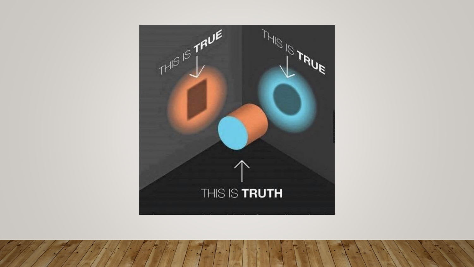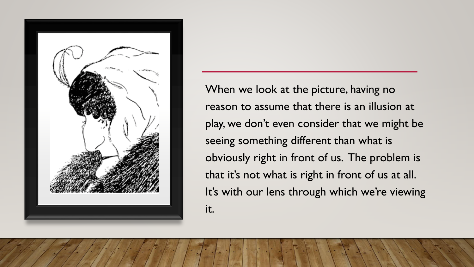

When we look at the picture, having no reason to assume that there is an illusion at play, we don't even consider that we might be seeing something different than what is obviously right in front of us. The problem is that it's not what is right in front of us at all. It's with our lens through which we're viewing it.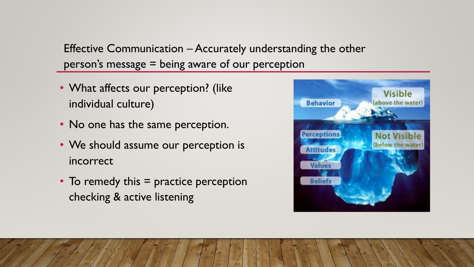Effective Communication – Accurately understanding the other person's message = being aware of our perception

- What affects our perception? (like individual culture)
- No one has the same perception.
- We should assume our perception is incorrect
- To remedy this = practice perception checking & active listening

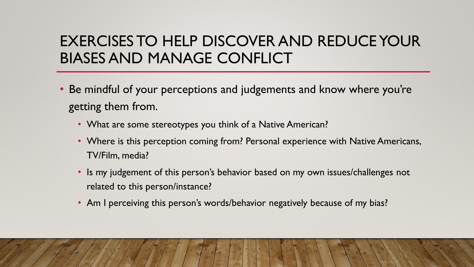# EXERCISES TO HELP DISCOVER AND REDUCE YOUR BIASES AND MANAGE CONFLICT

- Be mindful of your perceptions and judgements and know where you're getting them from.
	- What are some stereotypes you think of a Native American?
	- Where is this perception coming from? Personal experience with Native Americans, TV/Film, media?
	- Is my judgement of this person's behavior based on my own issues/challenges not related to this person/instance?
	- Am I perceiving this person's words/behavior negatively because of my bias?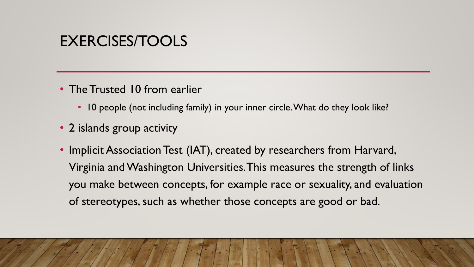# EXERCISES/TOOLS

- The Trusted 10 from earlier
	- 10 people (not including family) in your inner circle. What do they look like?
- 2 islands group activity
- Implicit Association Test (IAT), created by researchers from Harvard, Virginia and Washington Universities. This measures the strength of links you make between concepts, for example race or sexuality, and evaluation of stereotypes, such as whether those concepts are good or bad.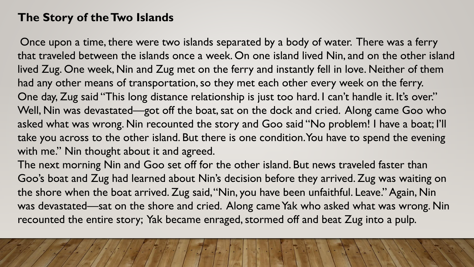### **The Story of the Two Islands**

Once upon a time, there were two islands separated by a body of water. There was a ferry that traveled between the islands once a week. On one island lived Nin, and on the other island lived Zug. One week, Nin and Zug met on the ferry and instantly fell in love. Neither of them had any other means of transportation, so they met each other every week on the ferry. One day, Zug said "This long distance relationship is just too hard. I can't handle it. It's over." Well, Nin was devastated—got off the boat, sat on the dock and cried. Along came Goo who asked what was wrong. Nin recounted the story and Goo said "No problem! I have a boat; I'll take you across to the other island. But there is one condition. You have to spend the evening with me." Nin thought about it and agreed.

The next morning Nin and Goo set off for the other island. But news traveled faster than Goo's boat and Zug had learned about Nin's decision before they arrived. Zug was waiting on the shore when the boat arrived. Zug said, "Nin, you have been unfaithful. Leave." Again, Nin was devastated—sat on the shore and cried. Along came Yak who asked what was wrong. Nin recounted the entire story; Yak became enraged, stormed off and beat Zug into a pulp.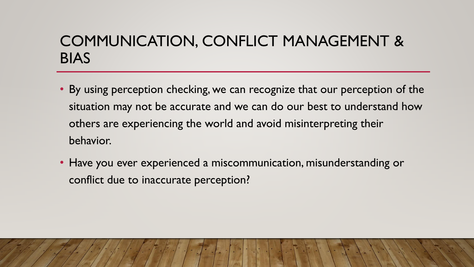# COMMUNICATION, CONFLICT MANAGEMENT & BIAS

- By using perception checking, we can recognize that our perception of the situation may not be accurate and we can do our best to understand how others are experiencing the world and avoid misinterpreting their behavior.
- Have you ever experienced a miscommunication, misunderstanding or conflict due to inaccurate perception?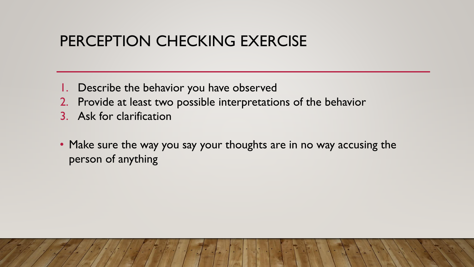# PERCEPTION CHECKING EXERCISE

- 1. Describe the behavior you have observed
- 2. Provide at least two possible interpretations of the behavior
- 3. Ask for clarification
- Make sure the way you say your thoughts are in no way accusing the person of anything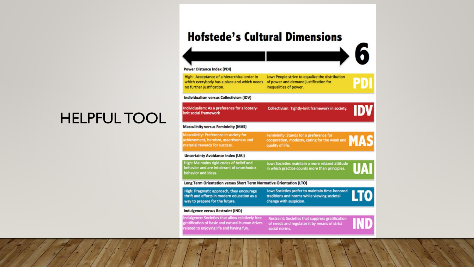# **HELPFUL TOOL**

### **Hofstede's Cultural Dimensions**



High: Acceptance of a hierarchical order in Low: People strive to equalize the distribution which everybody has a place and which needs of power and demand justification for no further justification.

inequalities of power.

#### Individualism versus Collectivism (IDV)

**Power Distance Index (PDI)** 

Individualism: As a preference for a looselyknit social framework

Collectivism: Tightly-knit framework in society.

## Femininity: Stands for a preference for

PD

**DV** 

 $\blacksquare$ 

cooperation, modesty, caring for the weak and quality of life.

#### **Uncertainty Avoidance Index (UAI)**

material rewards for success.

**Masculinity versus Femininity (MAS) Masculinity: Preference in society for** 

achievement, heroism, assertiveness and

High: Maintains rigid codes of belief and Low: Societies maintain a more relaxed attitude behavior and are intolerant of unorthodox in which practice counts more than principles. behavior and ideas.

#### Long Term Orientation versus Short Term Normative Orientation (LTO)

High: Pragmatic approach, they encourage Low: Societies prefer to maintain time-honored LTO traditions and norms while viewing societal thrift and efforts in modern education as a way to prepare for the future. change with suspicion.

#### **Indulgence versus Restraint (IND)**

Indulgence: Societies that allow relatively free gratification of basic and natural human drives related to enjoying life and having fun.

**Restraint: Societies that suppress gratification** of needs and regulates it by means of strict social norms.